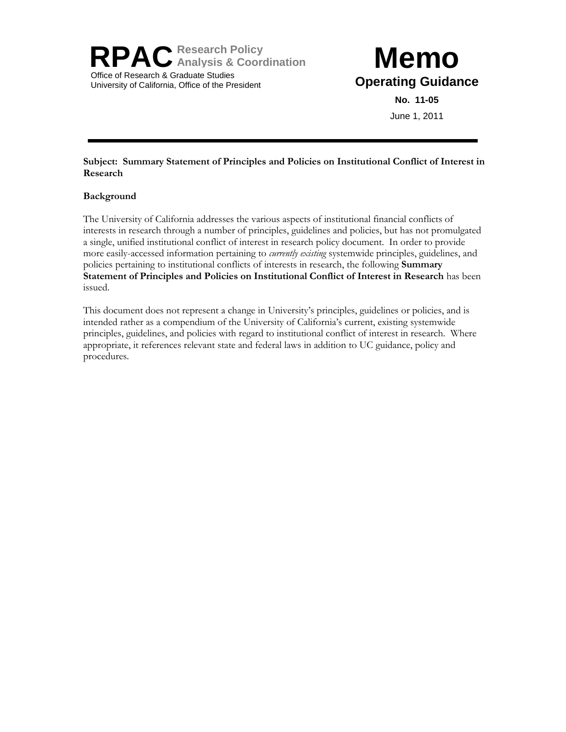**RPACResearch Policy Analysis & Coordination** Office of Research & Graduate Studies University of California, Office of the President

# **Memo Operating Guidance**

**No. 11-05** June 1, 2011

# **Subject: Summary Statement of Principles and Policies on Institutional Conflict of Interest in Research**

# **Background**

The University of California addresses the various aspects of institutional financial conflicts of interests in research through a number of principles, guidelines and policies, but has not promulgated a single, unified institutional conflict of interest in research policy document. In order to provide more easily-accessed information pertaining to *currently existing* systemwide principles, guidelines, and policies pertaining to institutional conflicts of interests in research, the following **Summary Statement of Principles and Policies on Institutional Conflict of Interest in Research** has been issued.

This document does not represent a change in University's principles, guidelines or policies, and is intended rather as a compendium of the University of California's current, existing systemwide principles, guidelines, and policies with regard to institutional conflict of interest in research. Where appropriate, it references relevant state and federal laws in addition to UC guidance, policy and procedures.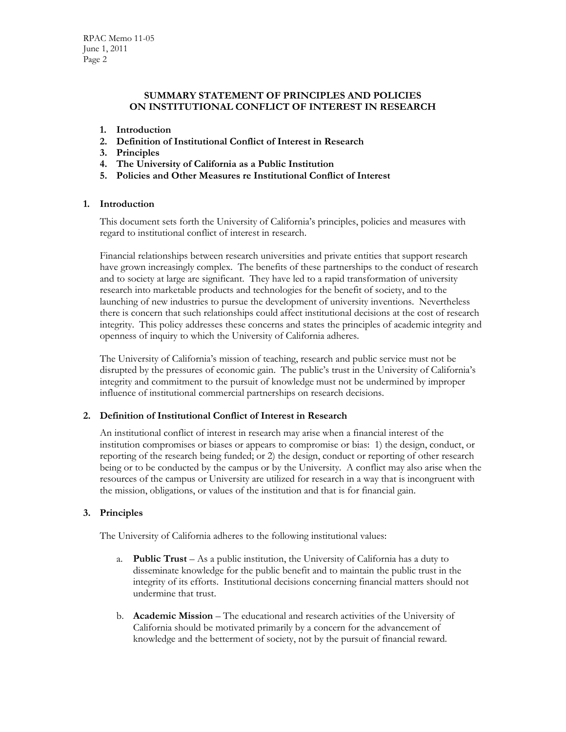## **SUMMARY STATEMENT OF PRINCIPLES AND POLICIES ON INSTITUTIONAL CONFLICT OF INTEREST IN RESEARCH**

- **1. Introduction**
- **2. Definition of Institutional Conflict of Interest in Research**
- **3. Principles**
- **4. The University of California as a Public Institution**
- **5. Policies and Other Measures re Institutional Conflict of Interest**

## **1. Introduction**

This document sets forth the University of California's principles, policies and measures with regard to institutional conflict of interest in research.

Financial relationships between research universities and private entities that support research have grown increasingly complex. The benefits of these partnerships to the conduct of research and to society at large are significant. They have led to a rapid transformation of university research into marketable products and technologies for the benefit of society, and to the launching of new industries to pursue the development of university inventions. Nevertheless there is concern that such relationships could affect institutional decisions at the cost of research integrity. This policy addresses these concerns and states the principles of academic integrity and openness of inquiry to which the University of California adheres.

The University of California's mission of teaching, research and public service must not be disrupted by the pressures of economic gain. The public's trust in the University of California's integrity and commitment to the pursuit of knowledge must not be undermined by improper influence of institutional commercial partnerships on research decisions.

#### **2. Definition of Institutional Conflict of Interest in Research**

An institutional conflict of interest in research may arise when a financial interest of the institution compromises or biases or appears to compromise or bias: 1) the design, conduct, or reporting of the research being funded; or 2) the design, conduct or reporting of other research being or to be conducted by the campus or by the University. A conflict may also arise when the resources of the campus or University are utilized for research in a way that is incongruent with the mission, obligations, or values of the institution and that is for financial gain.

# **3. Principles**

The University of California adheres to the following institutional values:

- a. **Public Trust** As a public institution, the University of California has a duty to disseminate knowledge for the public benefit and to maintain the public trust in the integrity of its efforts. Institutional decisions concerning financial matters should not undermine that trust.
- b. **Academic Mission** The educational and research activities of the University of California should be motivated primarily by a concern for the advancement of knowledge and the betterment of society, not by the pursuit of financial reward.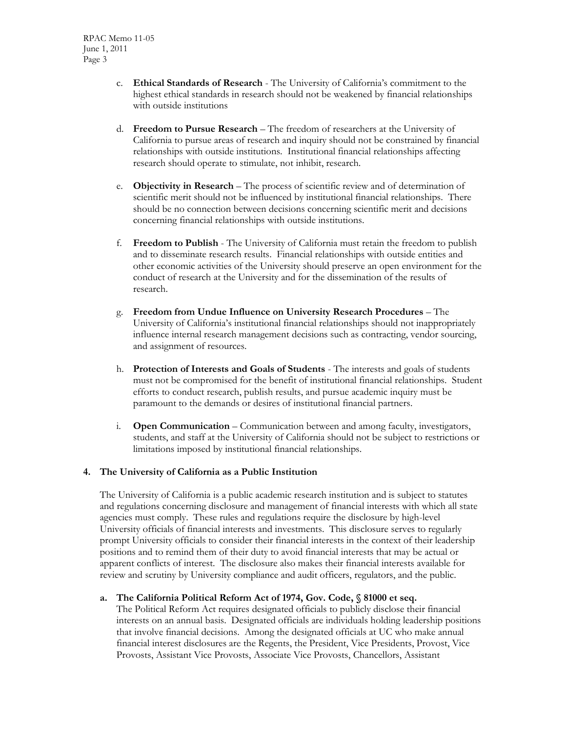- c. **Ethical Standards of Research** The University of California's commitment to the highest ethical standards in research should not be weakened by financial relationships with outside institutions
- d. **Freedom to Pursue Research** The freedom of researchers at the University of California to pursue areas of research and inquiry should not be constrained by financial relationships with outside institutions. Institutional financial relationships affecting research should operate to stimulate, not inhibit, research.
- e. **Objectivity in Research** The process of scientific review and of determination of scientific merit should not be influenced by institutional financial relationships. There should be no connection between decisions concerning scientific merit and decisions concerning financial relationships with outside institutions.
- f. **Freedom to Publish** The University of California must retain the freedom to publish and to disseminate research results. Financial relationships with outside entities and other economic activities of the University should preserve an open environment for the conduct of research at the University and for the dissemination of the results of research.
- g. **Freedom from Undue Influence on University Research Procedures** The University of California's institutional financial relationships should not inappropriately influence internal research management decisions such as contracting, vendor sourcing, and assignment of resources.
- h. **Protection of Interests and Goals of Students** The interests and goals of students must not be compromised for the benefit of institutional financial relationships. Student efforts to conduct research, publish results, and pursue academic inquiry must be paramount to the demands or desires of institutional financial partners.
- i. **Open Communication** Communication between and among faculty, investigators, students, and staff at the University of California should not be subject to restrictions or limitations imposed by institutional financial relationships.

# **4. The University of California as a Public Institution**

The University of California is a public academic research institution and is subject to statutes and regulations concerning disclosure and management of financial interests with which all state agencies must comply. These rules and regulations require the disclosure by high-level University officials of financial interests and investments. This disclosure serves to regularly prompt University officials to consider their financial interests in the context of their leadership positions and to remind them of their duty to avoid financial interests that may be actual or apparent conflicts of interest. The disclosure also makes their financial interests available for review and scrutiny by University compliance and audit officers, regulators, and the public.

#### **a. The California Political Reform Act of 1974, Gov. Code, § 81000 et seq.**

The Political Reform Act requires designated officials to publicly disclose their financial interests on an annual basis. Designated officials are individuals holding leadership positions that involve financial decisions. Among the designated officials at UC who make annual financial interest disclosures are the Regents, the President, Vice Presidents, Provost, Vice Provosts, Assistant Vice Provosts, Associate Vice Provosts, Chancellors, Assistant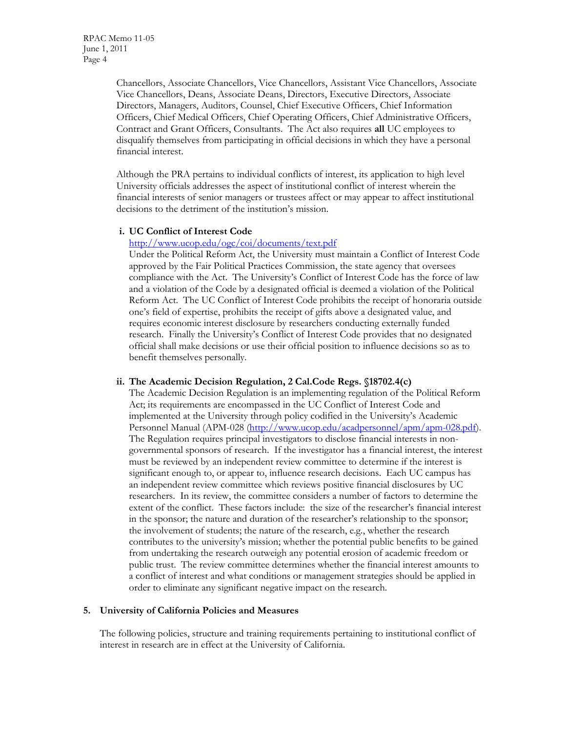Chancellors, Associate Chancellors, Vice Chancellors, Assistant Vice Chancellors, Associate Vice Chancellors, Deans, Associate Deans, Directors, Executive Directors, Associate Directors, Managers, Auditors, Counsel, Chief Executive Officers, Chief Information Officers, Chief Medical Officers, Chief Operating Officers, Chief Administrative Officers, Contract and Grant Officers, Consultants. The Act also requires **all** UC employees to disqualify themselves from participating in official decisions in which they have a personal financial interest.

Although the PRA pertains to individual conflicts of interest, its application to high level University officials addresses the aspect of institutional conflict of interest wherein the financial interests of senior managers or trustees affect or may appear to affect institutional decisions to the detriment of the institution's mission.

#### **i. UC Conflict of Interest Code**

## <http://www.ucop.edu/ogc/coi/documents/text.pdf>

Under the Political Reform Act, the University must maintain a Conflict of Interest Code approved by the Fair Political Practices Commission, the state agency that oversees compliance with the Act. The University's Conflict of Interest Code has the force of law and a violation of the Code by a designated official is deemed a violation of the Political Reform Act. The UC Conflict of Interest Code prohibits the receipt of honoraria outside one's field of expertise, prohibits the receipt of gifts above a designated value, and requires economic interest disclosure by researchers conducting externally funded research. Finally the University's Conflict of Interest Code provides that no designated official shall make decisions or use their official position to influence decisions so as to benefit themselves personally.

#### **ii. The Academic Decision Regulation, 2 Cal.Code Regs. §18702.4(c)**

The Academic Decision Regulation is an implementing regulation of the Political Reform Act; its requirements are encompassed in the UC Conflict of Interest Code and implemented at the University through policy codified in the University's Academic Personnel Manual (APM-028 [\(http://www.ucop.edu/acadpersonnel/apm/apm-028.pdf\)](http://www.ucop.edu/acadpersonnel/apm/apm-028.pdf). The Regulation requires principal investigators to disclose financial interests in nongovernmental sponsors of research. If the investigator has a financial interest, the interest must be reviewed by an independent review committee to determine if the interest is significant enough to, or appear to, influence research decisions. Each UC campus has an independent review committee which reviews positive financial disclosures by UC researchers. In its review, the committee considers a number of factors to determine the extent of the conflict. These factors include: the size of the researcher's financial interest in the sponsor; the nature and duration of the researcher's relationship to the sponsor; the involvement of students; the nature of the research, e.g., whether the research contributes to the university's mission; whether the potential public benefits to be gained from undertaking the research outweigh any potential erosion of academic freedom or public trust. The review committee determines whether the financial interest amounts to a conflict of interest and what conditions or management strategies should be applied in order to eliminate any significant negative impact on the research.

#### **5. University of California Policies and Measures**

The following policies, structure and training requirements pertaining to institutional conflict of interest in research are in effect at the University of California.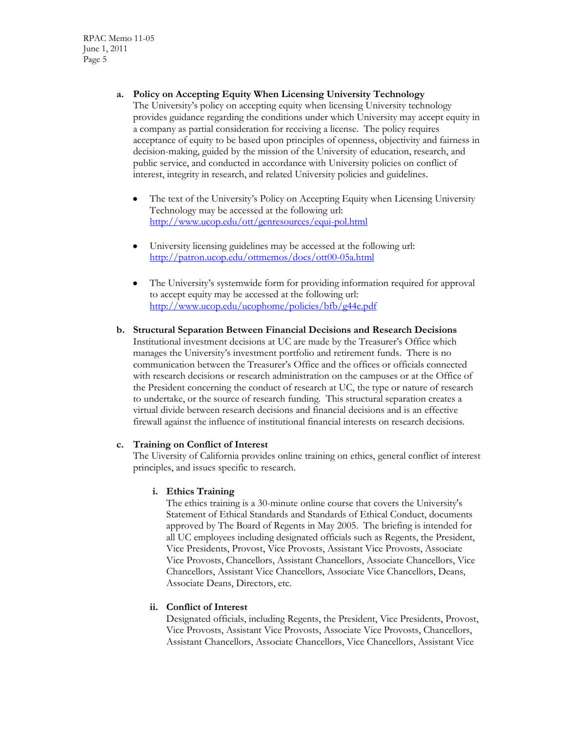RPAC Memo 11-05 June 1, 2011 Page 5

**a. Policy on Accepting Equity When Licensing University Technology** 

The University's policy on accepting equity when licensing University technology provides guidance regarding the conditions under which University may accept equity in a company as partial consideration for receiving a license. The policy requires acceptance of equity to be based upon principles of openness, objectivity and fairness in decision-making, guided by the mission of the University of education, research, and public service, and conducted in accordance with University policies on conflict of interest, integrity in research, and related University policies and guidelines.

- The text of the University's Policy on Accepting Equity when Licensing University Technology may be accessed at the following url: <http://www.ucop.edu/ott/genresources/equi-pol.html>
- University licensing guidelines may be accessed at the following url: <http://patron.ucop.edu/ottmemos/docs/ott00-05a.html>
- The University's systemwide form for providing information required for approval to accept equity may be accessed at the following url: <http://www.ucop.edu/ucophome/policies/bfb/g44e.pdf>

## **b. Structural Separation Between Financial Decisions and Research Decisions** Institutional investment decisions at UC are made by the Treasurer's Office which manages the University's investment portfolio and retirement funds. There is no communication between the Treasurer's Office and the offices or officials connected with research decisions or research administration on the campuses or at the Office of the President concerning the conduct of research at UC, the type or nature of research to undertake, or the source of research funding. This structural separation creates a virtual divide between research decisions and financial decisions and is an effective firewall against the influence of institutional financial interests on research decisions.

#### **c. Training on Conflict of Interest**

The Uiversity of California provides online training on ethics, general conflict of interest principles, and issues specific to research.

# **i. Ethics Training**

The ethics training is a 30-minute online course that covers the University's Statement of Ethical Standards and Standards of Ethical Conduct, documents approved by The Board of Regents in May 2005. The briefing is intended for all UC employees including designated officials such as Regents, the President, Vice Presidents, Provost, Vice Provosts, Assistant Vice Provosts, Associate Vice Provosts, Chancellors, Assistant Chancellors, Associate Chancellors, Vice Chancellors, Assistant Vice Chancellors, Associate Vice Chancellors, Deans, Associate Deans, Directors, etc.

# **ii. Conflict of Interest**

Designated officials, including Regents, the President, Vice Presidents, Provost, Vice Provosts, Assistant Vice Provosts, Associate Vice Provosts, Chancellors, Assistant Chancellors, Associate Chancellors, Vice Chancellors, Assistant Vice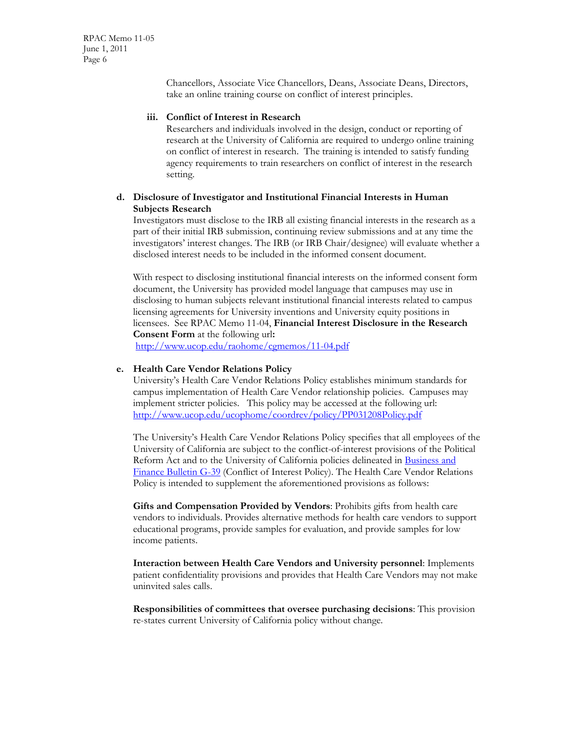RPAC Memo 11-05 June 1, 2011 Page 6

> Chancellors, Associate Vice Chancellors, Deans, Associate Deans, Directors, take an online training course on conflict of interest principles.

#### **iii. Conflict of Interest in Research**

Researchers and individuals involved in the design, conduct or reporting of research at the University of California are required to undergo online training on conflict of interest in research. The training is intended to satisfy funding agency requirements to train researchers on conflict of interest in the research setting.

## **d. Disclosure of Investigator and Institutional Financial Interests in Human Subjects Research**

Investigators must disclose to the IRB all existing financial interests in the research as a part of their initial IRB submission, continuing review submissions and at any time the investigators' interest changes. The IRB (or IRB Chair/designee) will evaluate whether a disclosed interest needs to be included in the informed consent document.

With respect to disclosing institutional financial interests on the informed consent form document, the University has provided model language that campuses may use in disclosing to human subjects relevant institutional financial interests related to campus licensing agreements for University inventions and University equity positions in licensees. See RPAC Memo 11-04, **Financial Interest Disclosure in the Research Consent Form** at the following url**:**

<http://www.ucop.edu/raohome/cgmemos/11-04.pdf>

#### **e. Health Care Vendor Relations Policy**

University's Health Care Vendor Relations Policy establishes minimum standards for campus implementation of Health Care Vendor relationship policies. Campuses may implement stricter policies. This policy may be accessed at the following url: <http://www.ucop.edu/ucophome/coordrev/policy/PP031208Policy.pdf>

The University's Health Care Vendor Relations Policy specifies that all employees of the University of California are subject to the conflict-of-interest provisions of the Political Reform Act and to the University of California policies delineated in [Business and](http://www.ucop.edu/ucophome/policies/bfb/g39.pdf)  [Finance Bulletin G-39](http://www.ucop.edu/ucophome/policies/bfb/g39.pdf) (Conflict of Interest Policy). The Health Care Vendor Relations Policy is intended to supplement the aforementioned provisions as follows:

**Gifts and Compensation Provided by Vendors**: Prohibits gifts from health care vendors to individuals. Provides alternative methods for health care vendors to support educational programs, provide samples for evaluation, and provide samples for low income patients.

**Interaction between Health Care Vendors and University personnel**: Implements patient confidentiality provisions and provides that Health Care Vendors may not make uninvited sales calls.

**Responsibilities of committees that oversee purchasing decisions**: This provision re-states current University of California policy without change.